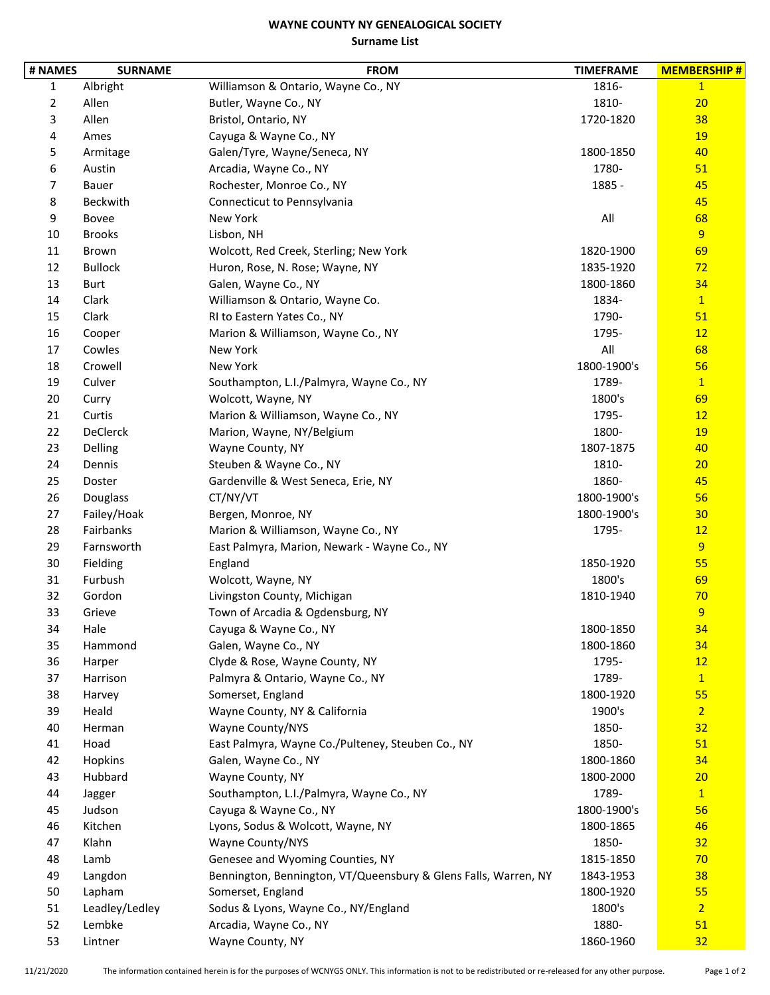## **WAYNE COUNTY NY GENEALOGICAL SOCIETY Surname List**

| # NAMES        | <b>SURNAME</b>  | <b>FROM</b>                                                     | <b>TIMEFRAME</b> | <b>MEMBERSHIP#</b> |
|----------------|-----------------|-----------------------------------------------------------------|------------------|--------------------|
| $\mathbf{1}$   | Albright        | Williamson & Ontario, Wayne Co., NY                             | 1816-            | $\mathbf{1}$       |
| $\overline{2}$ | Allen           | Butler, Wayne Co., NY                                           | 1810-            | 20                 |
| 3              | Allen           | Bristol, Ontario, NY                                            | 1720-1820        | 38                 |
| 4              | Ames            | Cayuga & Wayne Co., NY                                          |                  | 19                 |
| 5              | Armitage        | Galen/Tyre, Wayne/Seneca, NY                                    | 1800-1850        | 40                 |
| 6              | Austin          | Arcadia, Wayne Co., NY                                          | 1780-            | 51                 |
| 7              | <b>Bauer</b>    | Rochester, Monroe Co., NY                                       | 1885 -           | 45                 |
| 8              | Beckwith        | Connecticut to Pennsylvania                                     |                  | 45                 |
| 9              | Bovee           | New York                                                        | All              | 68                 |
| 10             | <b>Brooks</b>   | Lisbon, NH                                                      |                  | $\overline{9}$     |
| 11             | Brown           | Wolcott, Red Creek, Sterling; New York                          | 1820-1900        | 69                 |
| 12             | <b>Bullock</b>  | Huron, Rose, N. Rose; Wayne, NY                                 | 1835-1920        | 72                 |
| 13             | <b>Burt</b>     | Galen, Wayne Co., NY                                            | 1800-1860        | 34                 |
| 14             | Clark           | Williamson & Ontario, Wayne Co.                                 | 1834-            | $\mathbf{1}$       |
| 15             | Clark           | RI to Eastern Yates Co., NY                                     | 1790-            | 51                 |
| 16             | Cooper          | Marion & Williamson, Wayne Co., NY                              | 1795-            | 12                 |
| 17             | Cowles          | New York                                                        | All              | 68                 |
| 18             | Crowell         | New York                                                        | 1800-1900's      | 56                 |
| 19             | Culver          | Southampton, L.I./Palmyra, Wayne Co., NY                        | 1789-            | $\mathbf{1}$       |
| 20             | Curry           | Wolcott, Wayne, NY                                              | 1800's           | 69                 |
| 21             | Curtis          | Marion & Williamson, Wayne Co., NY                              | 1795-            | 12                 |
| 22             | <b>DeClerck</b> | Marion, Wayne, NY/Belgium                                       | 1800-            | <b>19</b>          |
| 23             | Delling         | Wayne County, NY                                                | 1807-1875        | 40                 |
| 24             | Dennis          | Steuben & Wayne Co., NY                                         | 1810-            | 20                 |
| 25             | Doster          | Gardenville & West Seneca, Erie, NY                             | 1860-            | 45                 |
| 26             | Douglass        | CT/NY/VT                                                        | 1800-1900's      | 56                 |
| 27             | Failey/Hoak     | Bergen, Monroe, NY                                              | 1800-1900's      | 30                 |
| 28             | Fairbanks       | Marion & Williamson, Wayne Co., NY                              | 1795-            | 12                 |
| 29             | Farnsworth      | East Palmyra, Marion, Newark - Wayne Co., NY                    |                  | $\overline{9}$     |
| 30             | Fielding        | England                                                         | 1850-1920        | 55                 |
| 31             | Furbush         | Wolcott, Wayne, NY                                              | 1800's           | 69                 |
| 32             | Gordon          | Livingston County, Michigan                                     | 1810-1940        | 70                 |
| 33             | Grieve          | Town of Arcadia & Ogdensburg, NY                                |                  | $\overline{9}$     |
| 34             | Hale            | Cayuga & Wayne Co., NY                                          | 1800-1850        | 34                 |
| 35             | Hammond         | Galen, Wayne Co., NY                                            | 1800-1860        | 34                 |
| 36             | Harper          | Clyde & Rose, Wayne County, NY                                  | 1795-            | 12                 |
| 37             | Harrison        | Palmyra & Ontario, Wayne Co., NY                                | 1789-            | $\mathbf{1}$       |
| 38             | Harvey          | Somerset, England                                               | 1800-1920        | 55                 |
| 39             | Heald           | Wayne County, NY & California                                   | 1900's           | $\overline{2}$     |
| 40             | Herman          | Wayne County/NYS                                                | 1850-            | 32                 |
| 41             | Hoad            | East Palmyra, Wayne Co./Pulteney, Steuben Co., NY               | 1850-            | 51                 |
| 42             | Hopkins         | Galen, Wayne Co., NY                                            | 1800-1860        | 34                 |
| 43             | Hubbard         | Wayne County, NY                                                | 1800-2000        | 20                 |
| 44             | Jagger          | Southampton, L.I./Palmyra, Wayne Co., NY                        | 1789-            | $\mathbf{1}$       |
| 45             | Judson          | Cayuga & Wayne Co., NY                                          | 1800-1900's      | 56                 |
| 46             | Kitchen         | Lyons, Sodus & Wolcott, Wayne, NY                               | 1800-1865        | 46                 |
| 47             | Klahn           | Wayne County/NYS                                                | 1850-            | 32                 |
| 48             | Lamb            | Genesee and Wyoming Counties, NY                                | 1815-1850        | 70                 |
| 49             | Langdon         | Bennington, Bennington, VT/Queensbury & Glens Falls, Warren, NY | 1843-1953        | 38                 |
| 50             | Lapham          | Somerset, England                                               | 1800-1920        | 55                 |
| 51             | Leadley/Ledley  | Sodus & Lyons, Wayne Co., NY/England                            | 1800's           | $\overline{2}$     |
| 52             | Lembke          | Arcadia, Wayne Co., NY                                          | 1880-            | 51                 |
| 53             | Lintner         | Wayne County, NY                                                | 1860-1960        | 32                 |